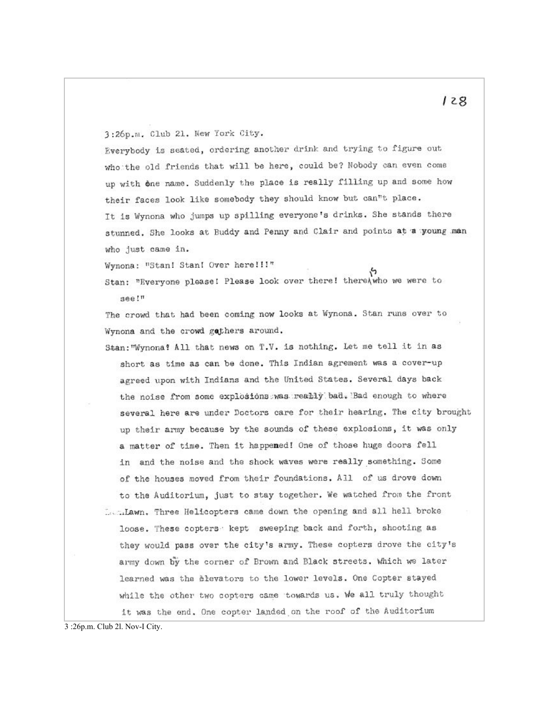## 3:26p.m. Club 21. New York City.

Everybody is seated, ordering another drink and trying to figure out who the old friends that will be here, could be? Nobody can even come up with one name. Suddenly the place is really filling up and some how their faces look like somebody they should know but can"t place. It is Wynona who jumps up spilling everyone's drinks. She stands there stunned. She looks at Buddy and Penny and Clair and points at a young man who just came in.

Wynona: "Stan! Stan! Over here!!!"

Stan: "Everyone please! Please look over there! thereAwho we were to see!"

The crowd that had been coming now looks at Wynona. Stan runs over to Wynona and the crowd gathers around.

Stan: "Wynona! All that news on T.V. is nothing. Let me tell it in as short as time as can be done. This Indian agrement was a cover-up agreed upon with Indians and the United States. Several days back the noise from some explosions was really bad. Bad enough to where several here are under Doctors care for their hearing. The city brought up their army because by the sounds of these explosions, it was only a matter of time. Then it happened! One of those huge doors fell in and the noise and the shock waves were really something. Some of the houses moved from their foundations. All of us drove down to the Auditorium, just to stay together. We watched from the front Lawn, Three Helicopters came down the opening and all hell broke loose. These copters kept sweeping back and forth, shooting as they would pass over the city's army. These copters drove the city's army down by the corner of Brown and Black streets. Which we later learned was the elevators to the lower levels. One Copter stayed

it was the end. One copter landed on the roof of the Auditorium

while the other two copters came towards us. We all truly thought

3 :26p.m. Club 2l. Nov-I City.